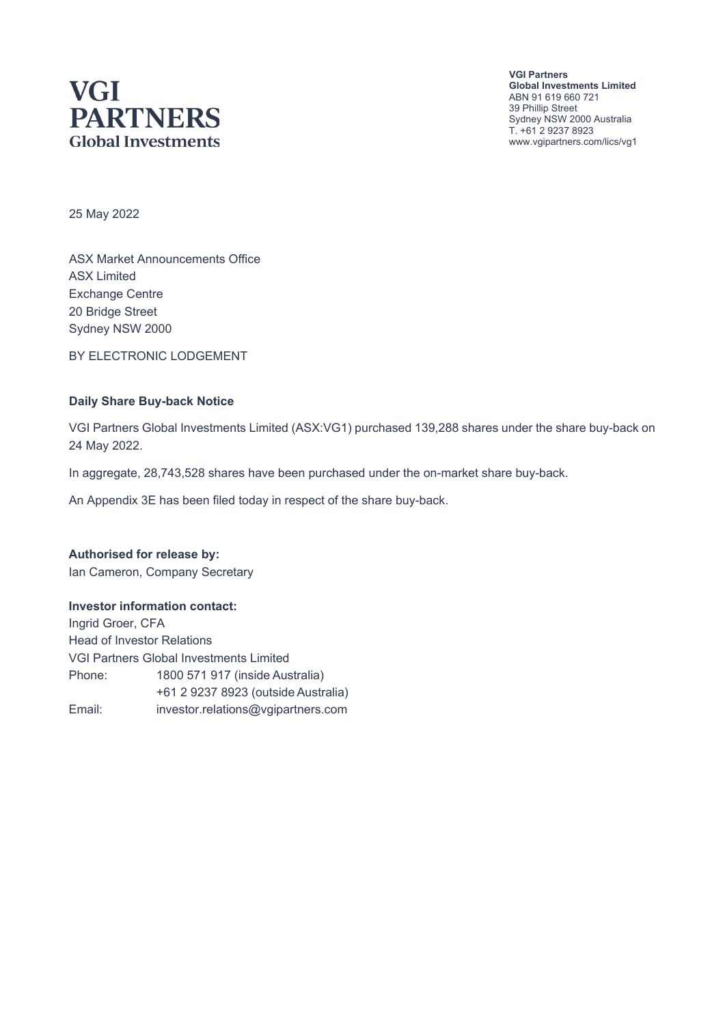# **VGI PARTNERS Global Investments**

**VGI Partners Global Investments Limited** ABN 91 619 660 721 39 Phillip Street Sydney NSW 2000 Australia T. +61 2 9237 8923 www.vgipartners.com/lics/vg1

25 May 2022

ASX Market Announcements Office ASX Limited Exchange Centre 20 Bridge Street Sydney NSW 2000

BY ELECTRONIC LODGEMENT

#### **Daily Share Buy-back Notice**

VGI Partners Global Investments Limited (ASX:VG1) purchased 139,288 shares under the share buy-back on 24 May 2022.

In aggregate, 28,743,528 shares have been purchased under the on-market share buy-back.

An Appendix 3E has been filed today in respect of the share buy-back.

**Authorised for release by:** Ian Cameron, Company Secretary

#### **Investor information contact:**

Ingrid Groer, CFA Head of Investor Relations VGI Partners Global Investments Limited Phone: 1800 571 917 (inside Australia) +61 2 9237 8923 (outside Australia) Email: investor.relations@vgipartners.com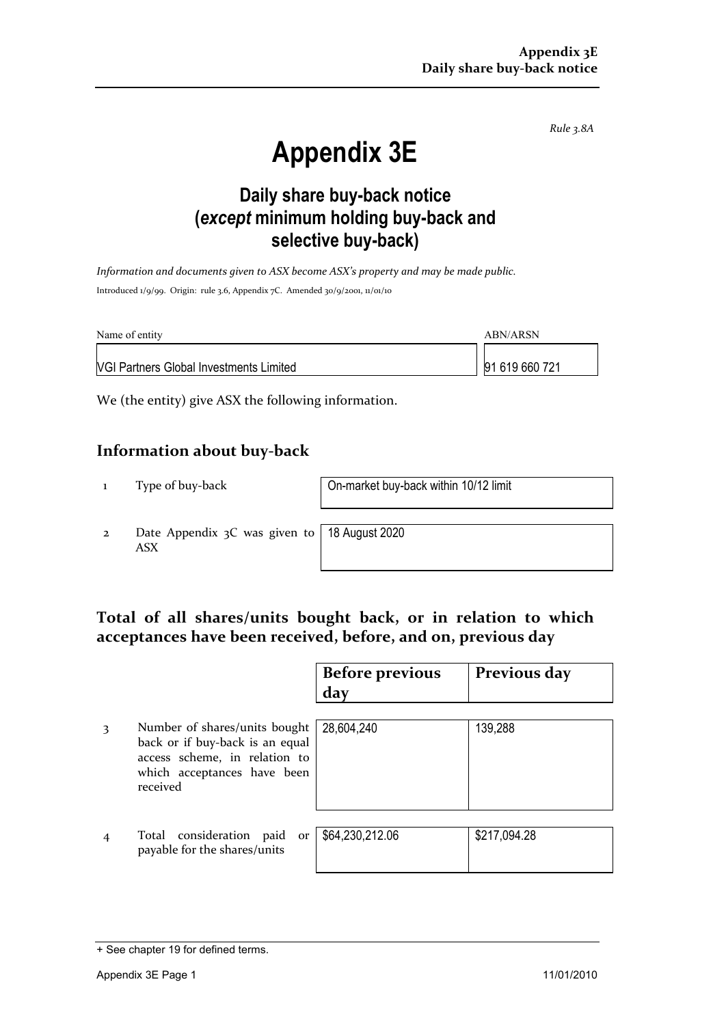*Rule 3.8A*

# **Appendix 3E**

## **Daily share buy-back notice (***except* **minimum holding buy-back and selective buy-back)**

*Information and documents given to ASX become ASX's property and may be made public.* Introduced 1/9/99. Origin: rule 3.6, Appendix 7C. Amended 30/9/2001, 11/01/10

| Name of entity                                 | ABN/ARSN       |
|------------------------------------------------|----------------|
| <b>NGI Partners Global Investments Limited</b> | 91 619 660 721 |

We (the entity) give ASX the following information.

#### **Information about buy-back**

1 Type of buy-back On-market buy-back within 10/12 limit

2 Date Appendix 3C was given to ASX

18 August 2020

### **Total of all shares/units bought back, or in relation to which acceptances have been received, before, and on, previous day**

|   |                                                                                                                                              | <b>Before previous</b><br>day | Previous day |
|---|----------------------------------------------------------------------------------------------------------------------------------------------|-------------------------------|--------------|
| 3 | Number of shares/units bought<br>back or if buy-back is an equal<br>access scheme, in relation to<br>which acceptances have been<br>received | 28,604,240                    | 139,288      |
|   | Total consideration paid<br>or<br>payable for the shares/units                                                                               | \$64,230,212.06               | \$217,094.28 |

<sup>+</sup> See chapter 19 for defined terms.